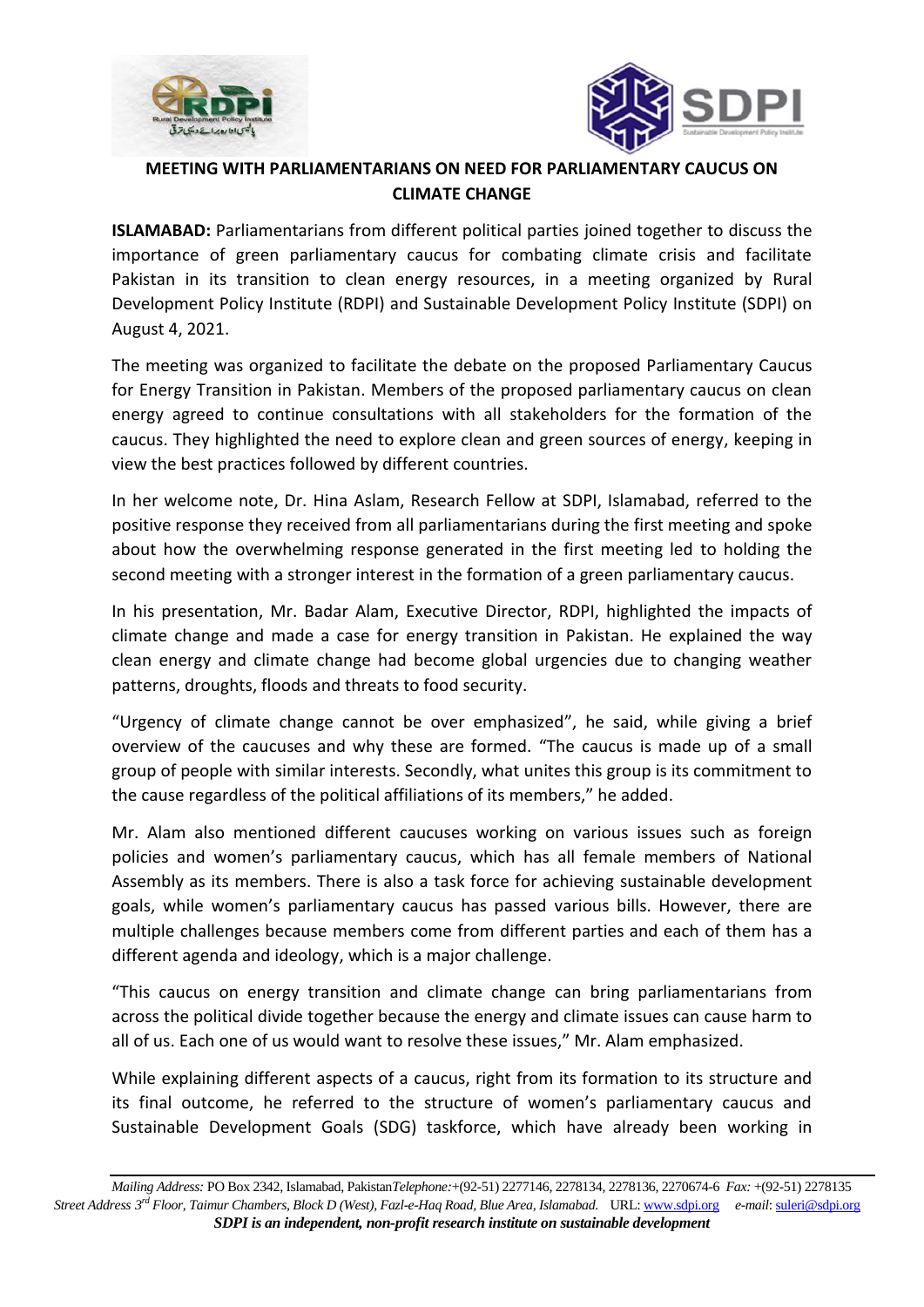



## **MEETING WITH PARLIAMENTARIANS ON NEED FOR PARLIAMENTARY CAUCUS ON CLIMATE CHANGE**

**ISLAMABAD:** Parliamentarians from different political parties joined together to discuss the importance of green parliamentary caucus for combating climate crisis and facilitate Pakistan in its transition to clean energy resources, in a meeting organized by Rural Development Policy Institute (RDPI) and Sustainable Development Policy Institute (SDPI) on August 4, 2021.

The meeting was organized to facilitate the debate on the proposed Parliamentary Caucus for Energy Transition in Pakistan. Members of the proposed parliamentary caucus on clean energy agreed to continue consultations with all stakeholders for the formation of the caucus. They highlighted the need to explore clean and green sources of energy, keeping in view the best practices followed by different countries.

In her welcome note, Dr. Hina Aslam, Research Fellow at SDPI, Islamabad, referred to the positive response they received from all parliamentarians during the first meeting and spoke about how the overwhelming response generated in the first meeting led to holding the second meeting with a stronger interest in the formation of a green parliamentary caucus.

In his presentation, Mr. Badar Alam, Executive Director, RDPI, highlighted the impacts of climate change and made a case for energy transition in Pakistan. He explained the way clean energy and climate change had become global urgencies due to changing weather patterns, droughts, floods and threats to food security.

"Urgency of climate change cannot be over emphasized", he said, while giving a brief overview of the caucuses and why these are formed. "The caucus is made up of a small group of people with similar interests. Secondly, what unites this group is its commitment to the cause regardless of the political affiliations of its members," he added.

Mr. Alam also mentioned different caucuses working on various issues such as foreign policies and women's parliamentary caucus, which has all female members of National Assembly as its members. There is also a task force for achieving sustainable development goals, while women's parliamentary caucus has passed various bills. However, there are multiple challenges because members come from different parties and each of them has a different agenda and ideology, which is a major challenge.

"This caucus on energy transition and climate change can bring parliamentarians from across the political divide together because the energy and climate issues can cause harm to all of us. Each one of us would want to resolve these issues," Mr. Alam emphasized.

While explaining different aspects of a caucus, right from its formation to its structure and its final outcome, he referred to the structure of women's parliamentary caucus and Sustainable Development Goals (SDG) taskforce, which have already been working in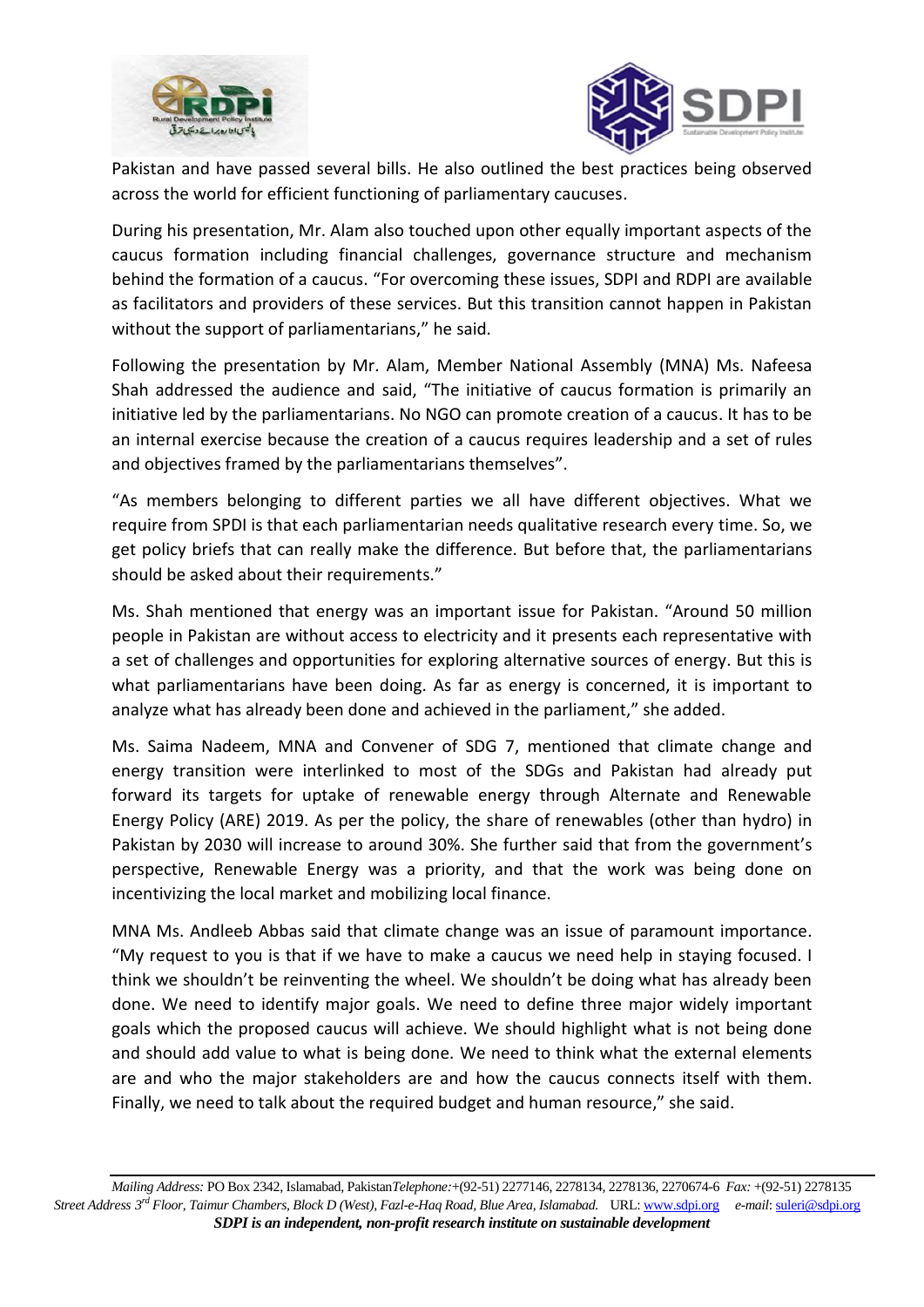



Pakistan and have passed several bills. He also outlined the best practices being observed across the world for efficient functioning of parliamentary caucuses.

During his presentation, Mr. Alam also touched upon other equally important aspects of the caucus formation including financial challenges, governance structure and mechanism behind the formation of a caucus. "For overcoming these issues, SDPI and RDPI are available as facilitators and providers of these services. But this transition cannot happen in Pakistan without the support of parliamentarians," he said.

Following the presentation by Mr. Alam, Member National Assembly (MNA) Ms. Nafeesa Shah addressed the audience and said, "The initiative of caucus formation is primarily an initiative led by the parliamentarians. No NGO can promote creation of a caucus. It has to be an internal exercise because the creation of a caucus requires leadership and a set of rules and objectives framed by the parliamentarians themselves".

"As members belonging to different parties we all have different objectives. What we require from SPDI is that each parliamentarian needs qualitative research every time. So, we get policy briefs that can really make the difference. But before that, the parliamentarians should be asked about their requirements."

Ms. Shah mentioned that energy was an important issue for Pakistan. "Around 50 million people in Pakistan are without access to electricity and it presents each representative with a set of challenges and opportunities for exploring alternative sources of energy. But this is what parliamentarians have been doing. As far as energy is concerned, it is important to analyze what has already been done and achieved in the parliament," she added.

Ms. Saima Nadeem, MNA and Convener of SDG 7, mentioned that climate change and energy transition were interlinked to most of the SDGs and Pakistan had already put forward its targets for uptake of renewable energy through Alternate and Renewable Energy Policy (ARE) 2019. As per the policy, the share of renewables (other than hydro) in Pakistan by 2030 will increase to around 30%. She further said that from the government's perspective, Renewable Energy was a priority, and that the work was being done on incentivizing the local market and mobilizing local finance.

MNA Ms. Andleeb Abbas said that climate change was an issue of paramount importance. "My request to you is that if we have to make a caucus we need help in staying focused. I think we shouldn't be reinventing the wheel. We shouldn't be doing what has already been done. We need to identify major goals. We need to define three major widely important goals which the proposed caucus will achieve. We should highlight what is not being done and should add value to what is being done. We need to think what the external elements are and who the major stakeholders are and how the caucus connects itself with them. Finally, we need to talk about the required budget and human resource," she said.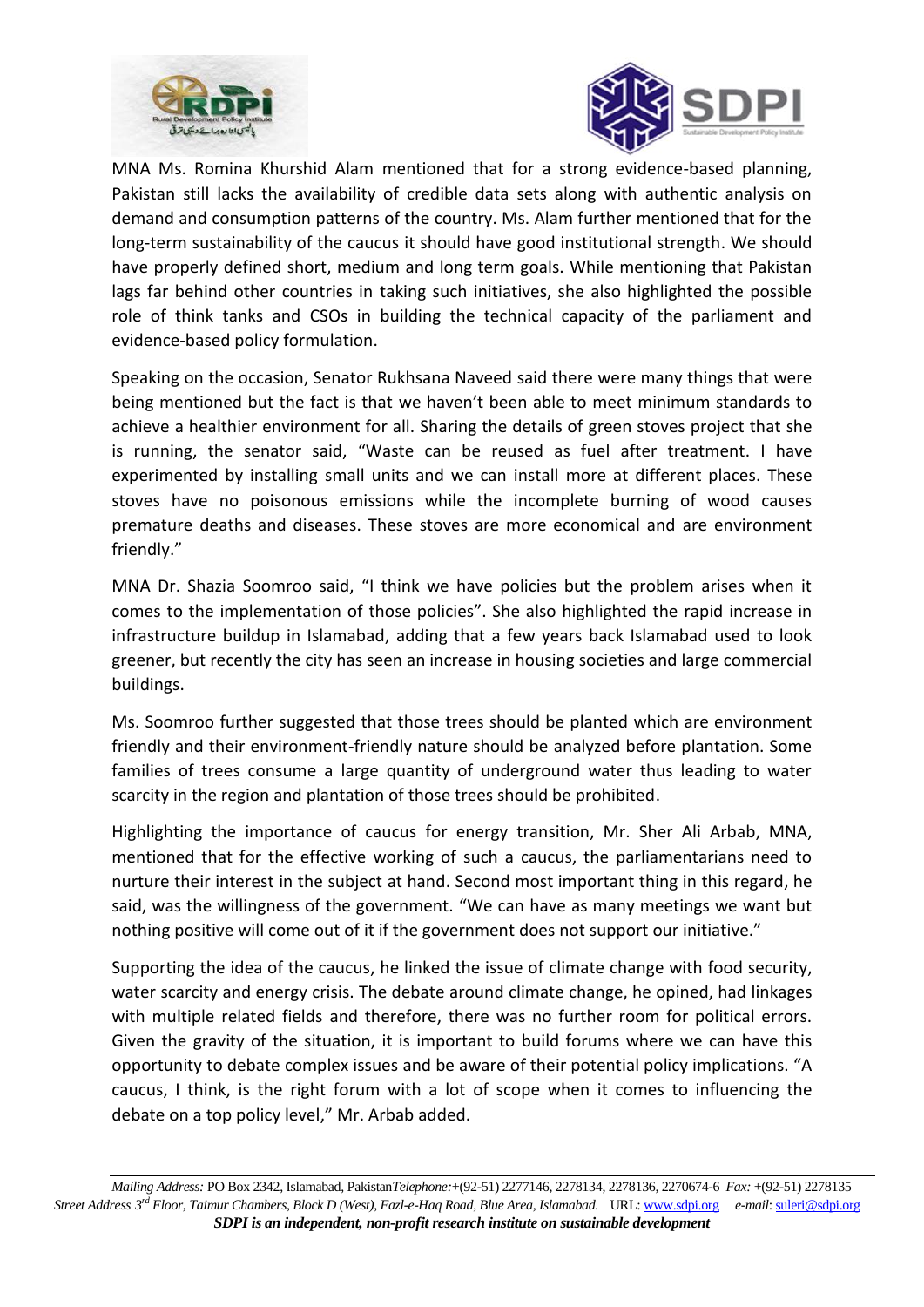



MNA Ms. Romina Khurshid Alam mentioned that for a strong evidence-based planning, Pakistan still lacks the availability of credible data sets along with authentic analysis on demand and consumption patterns of the country. Ms. Alam further mentioned that for the long-term sustainability of the caucus it should have good institutional strength. We should have properly defined short, medium and long term goals. While mentioning that Pakistan lags far behind other countries in taking such initiatives, she also highlighted the possible role of think tanks and CSOs in building the technical capacity of the parliament and evidence-based policy formulation.

Speaking on the occasion, Senator Rukhsana Naveed said there were many things that were being mentioned but the fact is that we haven't been able to meet minimum standards to achieve a healthier environment for all. Sharing the details of green stoves project that she is running, the senator said, "Waste can be reused as fuel after treatment. I have experimented by installing small units and we can install more at different places. These stoves have no poisonous emissions while the incomplete burning of wood causes premature deaths and diseases. These stoves are more economical and are environment friendly."

MNA Dr. Shazia Soomroo said, "I think we have policies but the problem arises when it comes to the implementation of those policies". She also highlighted the rapid increase in infrastructure buildup in Islamabad, adding that a few years back Islamabad used to look greener, but recently the city has seen an increase in housing societies and large commercial buildings.

Ms. Soomroo further suggested that those trees should be planted which are environment friendly and their environment-friendly nature should be analyzed before plantation. Some families of trees consume a large quantity of underground water thus leading to water scarcity in the region and plantation of those trees should be prohibited.

Highlighting the importance of caucus for energy transition, Mr. Sher Ali Arbab, MNA, mentioned that for the effective working of such a caucus, the parliamentarians need to nurture their interest in the subject at hand. Second most important thing in this regard, he said, was the willingness of the government. "We can have as many meetings we want but nothing positive will come out of it if the government does not support our initiative."

Supporting the idea of the caucus, he linked the issue of climate change with food security, water scarcity and energy crisis. The debate around climate change, he opined, had linkages with multiple related fields and therefore, there was no further room for political errors. Given the gravity of the situation, it is important to build forums where we can have this opportunity to debate complex issues and be aware of their potential policy implications. "A caucus, I think, is the right forum with a lot of scope when it comes to influencing the debate on a top policy level," Mr. Arbab added.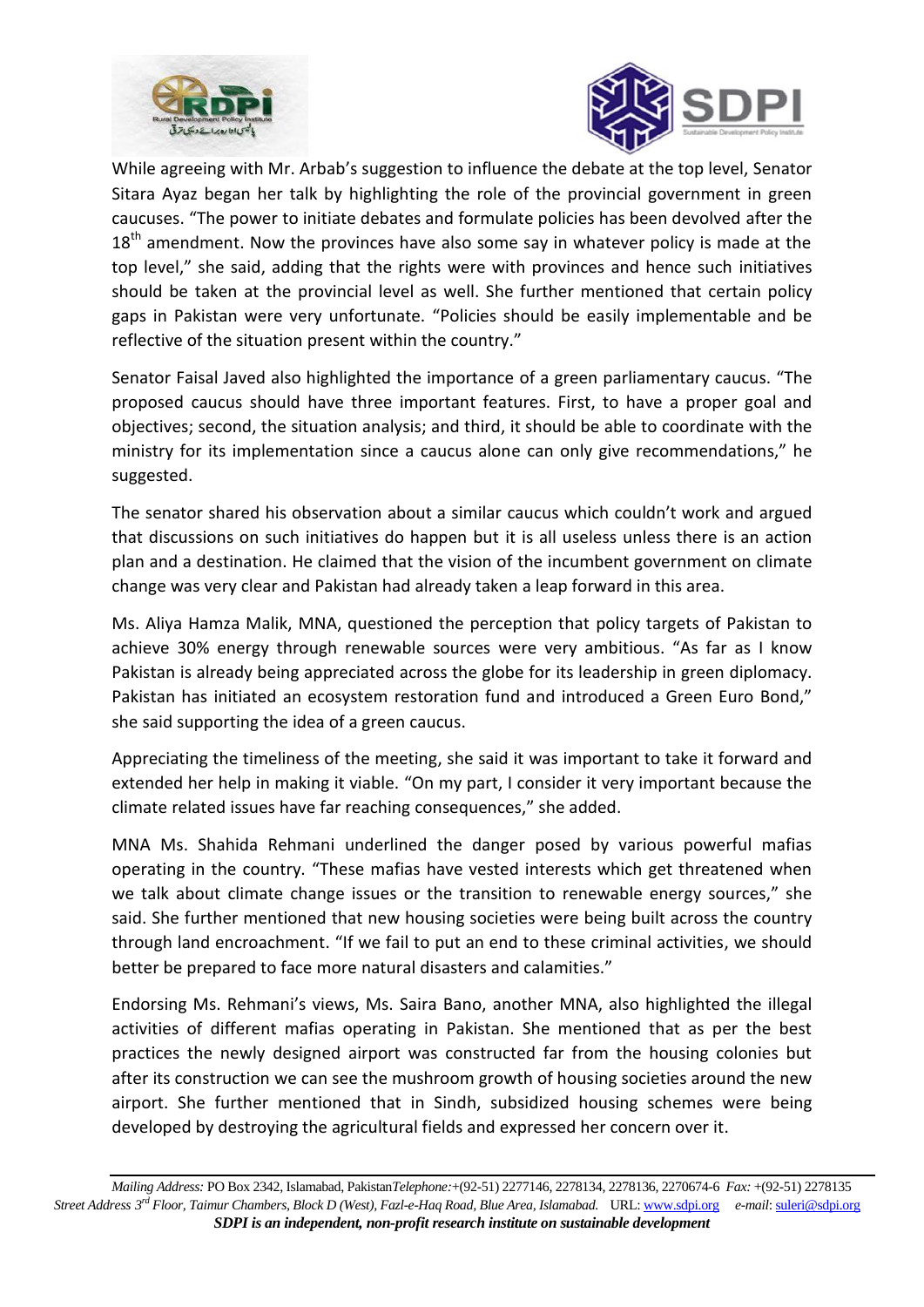



While agreeing with Mr. Arbab's suggestion to influence the debate at the top level, Senator Sitara Ayaz began her talk by highlighting the role of the provincial government in green caucuses. "The power to initiate debates and formulate policies has been devolved after the  $18<sup>th</sup>$  amendment. Now the provinces have also some say in whatever policy is made at the top level," she said, adding that the rights were with provinces and hence such initiatives should be taken at the provincial level as well. She further mentioned that certain policy gaps in Pakistan were very unfortunate. "Policies should be easily implementable and be reflective of the situation present within the country."

Senator Faisal Javed also highlighted the importance of a green parliamentary caucus. "The proposed caucus should have three important features. First, to have a proper goal and objectives; second, the situation analysis; and third, it should be able to coordinate with the ministry for its implementation since a caucus alone can only give recommendations," he suggested.

The senator shared his observation about a similar caucus which couldn't work and argued that discussions on such initiatives do happen but it is all useless unless there is an action plan and a destination. He claimed that the vision of the incumbent government on climate change was very clear and Pakistan had already taken a leap forward in this area.

Ms. Aliya Hamza Malik, MNA, questioned the perception that policy targets of Pakistan to achieve 30% energy through renewable sources were very ambitious. "As far as I know Pakistan is already being appreciated across the globe for its leadership in green diplomacy. Pakistan has initiated an ecosystem restoration fund and introduced a Green Euro Bond," she said supporting the idea of a green caucus.

Appreciating the timeliness of the meeting, she said it was important to take it forward and extended her help in making it viable. "On my part, I consider it very important because the climate related issues have far reaching consequences," she added.

MNA Ms. Shahida Rehmani underlined the danger posed by various powerful mafias operating in the country. "These mafias have vested interests which get threatened when we talk about climate change issues or the transition to renewable energy sources," she said. She further mentioned that new housing societies were being built across the country through land encroachment. "If we fail to put an end to these criminal activities, we should better be prepared to face more natural disasters and calamities."

Endorsing Ms. Rehmani's views, Ms. Saira Bano, another MNA, also highlighted the illegal activities of different mafias operating in Pakistan. She mentioned that as per the best practices the newly designed airport was constructed far from the housing colonies but after its construction we can see the mushroom growth of housing societies around the new airport. She further mentioned that in Sindh, subsidized housing schemes were being developed by destroying the agricultural fields and expressed her concern over it.